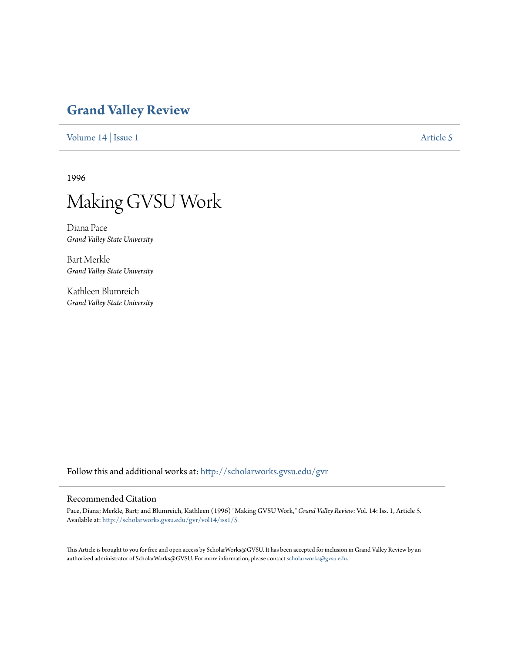# **[Grand Valley Review](http://scholarworks.gvsu.edu/gvr?utm_source=scholarworks.gvsu.edu%2Fgvr%2Fvol14%2Fiss1%2F5&utm_medium=PDF&utm_campaign=PDFCoverPages)**

[Volume 14](http://scholarworks.gvsu.edu/gvr/vol14?utm_source=scholarworks.gvsu.edu%2Fgvr%2Fvol14%2Fiss1%2F5&utm_medium=PDF&utm_campaign=PDFCoverPages) | [Issue 1](http://scholarworks.gvsu.edu/gvr/vol14/iss1?utm_source=scholarworks.gvsu.edu%2Fgvr%2Fvol14%2Fiss1%2F5&utm_medium=PDF&utm_campaign=PDFCoverPages) [Article 5](http://scholarworks.gvsu.edu/gvr/vol14/iss1/5?utm_source=scholarworks.gvsu.edu%2Fgvr%2Fvol14%2Fiss1%2F5&utm_medium=PDF&utm_campaign=PDFCoverPages)

1996



Diana Pace *Grand Valley State University*

Bart Merkle *Grand Valley State University*

Kathleen Blumreich *Grand Valley State University*

Follow this and additional works at: [http://scholarworks.gvsu.edu/gvr](http://scholarworks.gvsu.edu/gvr?utm_source=scholarworks.gvsu.edu%2Fgvr%2Fvol14%2Fiss1%2F5&utm_medium=PDF&utm_campaign=PDFCoverPages)

### Recommended Citation

Pace, Diana; Merkle, Bart; and Blumreich, Kathleen (1996) "Making GVSU Work," *Grand Valley Review*: Vol. 14: Iss. 1, Article 5. Available at: [http://scholarworks.gvsu.edu/gvr/vol14/iss1/5](http://scholarworks.gvsu.edu/gvr/vol14/iss1/5?utm_source=scholarworks.gvsu.edu%2Fgvr%2Fvol14%2Fiss1%2F5&utm_medium=PDF&utm_campaign=PDFCoverPages)

This Article is brought to you for free and open access by ScholarWorks@GVSU. It has been accepted for inclusion in Grand Valley Review by an authorized administrator of ScholarWorks@GVSU. For more information, please contact [scholarworks@gvsu.edu.](mailto:scholarworks@gvsu.edu)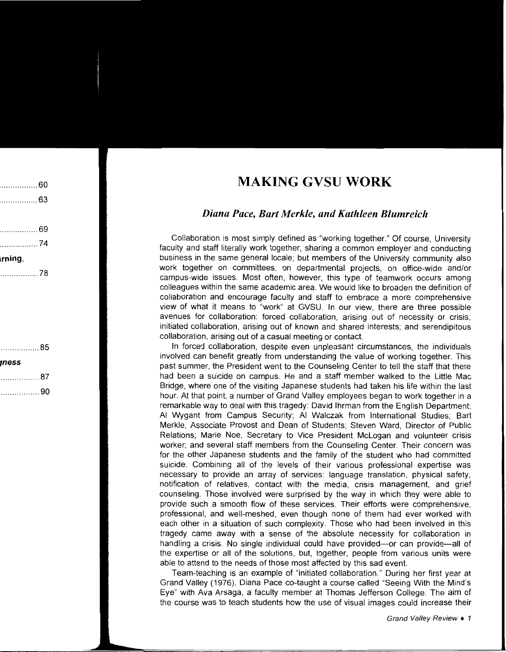## **MAKING GVSU WORK**

## *Diana Pace, Bart Merkle, and Kathleen Blumreich*

Collaboration is most simply defined as "working together." Of course, University faculty and staff literally work together, sharing a common employer and conducting business in the same general locale; but members of the University community also work together on committees, on departmental projects, on office-wide and/or campus-wide issues. Most often, however, this type of teamwork occurs among colleagues within the same academic area. We would like to broaden the definition of collaboration and encourage faculty and staff to embrace a more comprehensive view of what it means to "work" at GVSU. In our view, there are three possible avenues for collaboration: forced collaboration, arising out of necessity or crisis; initiated collaboration, arising out of known and shared interests; and serendipitous collaboration, arising out of a casual meeting or contact.

In forced collaboration, despite even unpleasant circumstances, the individuals involved can benefit greatly from understanding the value of working together. This past summer, the President went to the Counseling Center to tell the staff that there had been a suicide on campus. He and a staff member walked to the Little Mac Bridge, where one of the visiting Japanese students had taken his life within the last hour. At that point, a number of Grand Valley employees began to work together in a remarkable way to deal with this tragedy: David lhrman from the English Department; AI Wygant from Campus Security; AI Walczak from International Studies; Bart Merkle, Associate Provost and Dean of Students; Steven Ward, Director of Public Relations; Marie Noe, Secretary to Vice President Mclogan and volunteer crisis worker; and several staff members from the Counseling Center. Their concern was for the other Japanese students and the family of the student who had committed suicide. Combining all of the levels of their various professional expertise was necessary to provide an array of services: language translation, physical safety, notification of relatives, contact with the media, crisis management, and grief counseling. Those involved were surprised by the way in which they were able to provide such a smooth flow of these services. Their efforts were comprehensive, professional, and well-meshed, even though none of them had ever worked with each other in a situation of such complexity. Those who had been involved in this tragedy came away with a sense of the absolute necessity for collaboration in handling a crisis. No single individual could have provided-or can provide-all of the expertise or all of the solutions, but, together, people from various units were able to attend to the needs of those most affected by this sad event.

Team-teaching is an example of "initiated collaboration." During her first year at Grand Valley (1976), Diana Pace co-taught a course called "Seeing With the Mind's Eye" with Ava Arsaga, a faculty member at Thomas Jefferson College. The aim of the course was to teach students how the use of visual images could increase their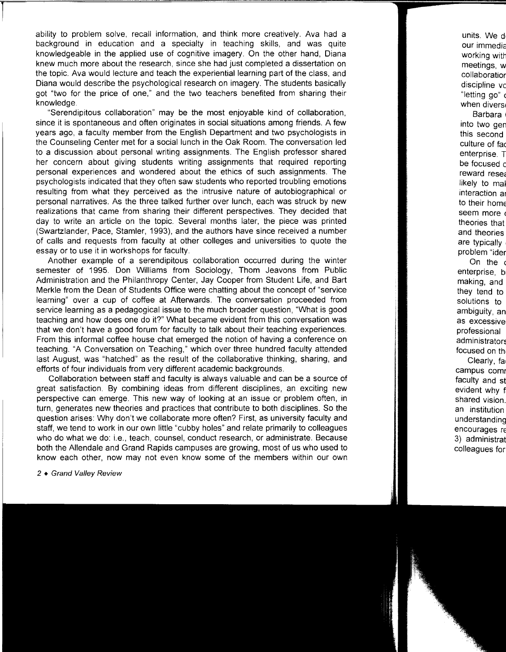ability to problem solve, recall information, and think more creatively. Ava had a background in education and a specialty in teaching skills, and was quite knowledgeable in the applied use of cognitive imagery. On the other hand, Diana knew much more about the research, since she had just completed a dissertation on the topic. Ava would lecture and teach the experiential learning part of the class, and Diana would describe the psychological research on imagery. The students basically got "two for the price of one," and the two teachers benefited from sharing their knowledge.

"Serendipitous collaboration" may be the most enjoyable kind of collaboration, since it is spontaneous and often originates in social situations among friends. A few years ago, a faculty member from the English Department and two psychologists in the Counseling Center met for a social lunch in the Oak Room. The conversation led to a discussion about personal writing assignments. The English professor shared her concern about giving students writing assignments that required reporting personal experiences and wondered about the ethics of such assignments. The psychologists indicated that they often saw students who reported troubling emotions resulting from what they perceived as the intrusive nature of autobiographical or personal narratives. As the three talked further over lunch, each was struck by new realizations that came from sharing their different perspectives. They decided that day to write an article on the topic. Several months later, the piece was printed (Swartzlander, Pace, Stamler, 1993), and the authors have since received a number of calls and requests from faculty at other colleges and universities to quote the essay or to use it in workshops for faculty.

Another example of a serendipitous collaboration occurred during the winter semester of 1995. Don Williams from Sociology, Thom Jeavons from Public Administration and the Philanthropy Center, Jay Cooper from Student Life, and Bart Merkle from the Dean of Students Office were chatting about the concept of "service learning" over a cup of coffee at Afterwards. The conversation proceeded from service learning as a pedagogical issue to the much broader question, "What is good teaching and how does one do it?" What became evident from this conversation was that we don't have a good forum for faculty to talk about their teaching experiences. From this informal coffee house chat emerged the notion of having a conference on teaching. "A Conversation on Teaching," which over three hundred faculty attended last August, was "hatched" as the result of the collaborative thinking, sharing, and efforts of four individuals from very different academic backgrounds.

Collaboration between staff and faculty is always valuable and can be a source of great satisfaction. By combining ideas from different disciplines, an exciting new perspective can emerge. This new way of looking at an issue or problem often, in turn, generates new theories and practices that contribute to both disciplines. So the question arises: Why don't we collaborate more often? First, as university faculty and staff, we tend to work in our own little "cubby holes" and relate primarily to colleagues who do what we do: i.e., teach, counsel, conduct research, or administrate. Because both the Allendale and Grand Rapids campuses are growing, most of us who used to know each other, now may not even know some of the members within our own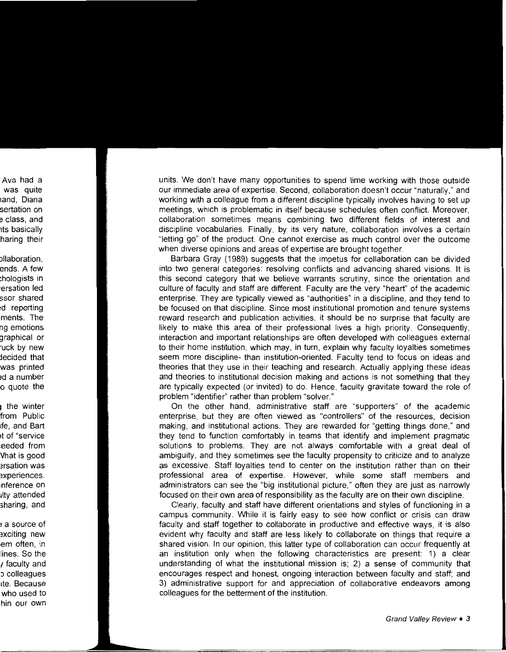units. We don't have many opportunities to spend time working with those outside our immediate area of expertise. Second, collaboration doesn't occur "naturally," and working with a colleague from a different discipline typically involves having to set up meetings, which is problematic in itself because schedules often conflict. Moreover, collaboration sometimes means combining two different fields of interest and discipline vocabularies. Finally, by its very nature, collaboration involves a certain "letting go" of the product. One cannot exercise as much control over the outcome when diverse opinions and areas of expertise are brought together.

Barbara Gray ( 1989) suggests that the impetus for collaboration can be divided into two general categories: resolving conflicts and advancing shared visions. It is this second category that we believe warrants scrutiny, since the orientation and culture of faculty and staff are different. Faculty are the very "heart" of the academic enterprise. They are typically viewed as "authorities" in a discipline, and they tend to be focused on that discipline. Since most institutional promotion and tenure systems reward research and publication activities, it should be no surprise that faculty are likely to make this area of their professional lives a high priority. Consequently, interaction and important relationships are often developed with colleagues external to their home institution, which may, in turn, explain why faculty loyalties sometimes seem more discipline- than institution-oriented. Faculty tend to focus on ideas and theories that they use in their teaching and research. Actually applying these ideas and theories to institutional decision making and actions is not something that they are typically expected (or invited) to do. Hence, faculty gravitate toward the role of problem "identifier" rather than problem "solver."

On the other hand, administrative staff are "supporters" of the academic enterprise, but they are often viewed as "controllers" of the resources, decision making, and institutional actions. They are rewarded for "getting things done," and they tend to function comfortably in teams that identify and implement pragmatic solutions to problems. They are not always comfortable with a great deal of ambiguity, and they sometimes see the faculty propensity to criticize and to analyze as excessive. Staff loyalties tend to center on the institution rather than on their professional area of expertise. However, while some staff members and administrators can see the "big institutional picture," often they are just as narrowly focused on their own area of responsibility as the faculty are on their own discipline.

Clearly, faculty and staff have different orientations and styles of functioning in a campus community. While it is fairly easy to see how conflict or crisis can draw faculty and staff together to collaborate in productive and effective ways, it is also evident why faculty and staff are less likely to collaborate on things that require a shared vision. In our opinion, this latter type of collaboration can occur frequently at an institution only when the following characteristics are present: 1) a clear understanding of what the institutional mission is; 2) a sense of community that encourages respect and honest, ongoing interaction between faculty and staff; and 3) administrative support for and appreciation of collaborative endeavors among colleagues for the betterment of the institution.